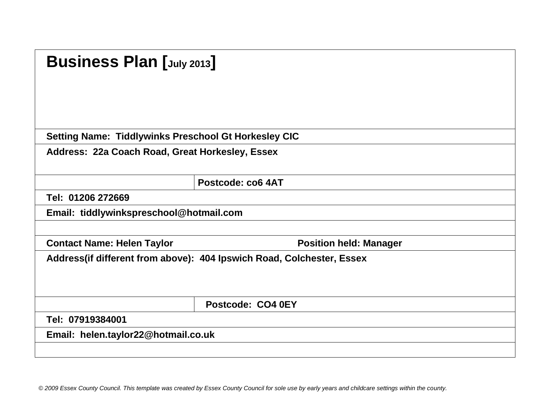| <b>Business Plan [July 2013]</b>                            |                                                                        |
|-------------------------------------------------------------|------------------------------------------------------------------------|
| <b>Setting Name: Tiddlywinks Preschool Gt Horkesley CIC</b> |                                                                        |
| Address: 22a Coach Road, Great Horkesley, Essex             |                                                                        |
|                                                             | Postcode: co6 4AT                                                      |
| Tel: 01206 272669                                           |                                                                        |
| Email: tiddlywinkspreschool@hotmail.com                     |                                                                        |
|                                                             |                                                                        |
| <b>Contact Name: Helen Taylor</b>                           | <b>Position held: Manager</b>                                          |
|                                                             | Address (if different from above): 404 Ipswich Road, Colchester, Essex |
|                                                             | Postcode: CO4 0EY                                                      |
| Tel: 07919384001                                            |                                                                        |
| Email: helen.taylor22@hotmail.co.uk                         |                                                                        |
|                                                             |                                                                        |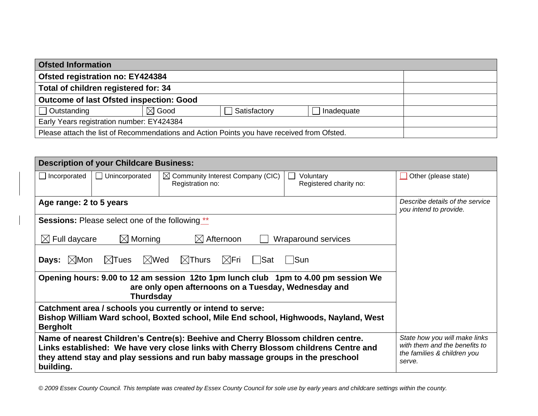| <b>Ofsted Information</b>                                                                  |                  |              |            |  |
|--------------------------------------------------------------------------------------------|------------------|--------------|------------|--|
| Ofsted registration no: EY424384                                                           |                  |              |            |  |
| Total of children registered for: 34                                                       |                  |              |            |  |
| <b>Outcome of last Ofsted inspection: Good</b>                                             |                  |              |            |  |
| $\Box$ Outstanding                                                                         | $\boxtimes$ Good | Satisfactory | Inadequate |  |
| Early Years registration number: EY424384                                                  |                  |              |            |  |
| Please attach the list of Recommendations and Action Points you have received from Ofsted. |                  |              |            |  |

|                                                                                    | <b>Description of your Childcare Business:</b>         |                                                                                                                                                                                                                                                              |                                     |                                                                                                         |
|------------------------------------------------------------------------------------|--------------------------------------------------------|--------------------------------------------------------------------------------------------------------------------------------------------------------------------------------------------------------------------------------------------------------------|-------------------------------------|---------------------------------------------------------------------------------------------------------|
| Incorporated                                                                       | Unincorporated<br>$\perp$                              | $\boxtimes$ Community Interest Company (CIC)<br>Registration no:                                                                                                                                                                                             | Voluntary<br>Registered charity no: | Other (please state)                                                                                    |
| Age range: 2 to 5 years                                                            |                                                        |                                                                                                                                                                                                                                                              |                                     | Describe details of the service<br>you intend to provide.                                               |
|                                                                                    | <b>Sessions:</b> Please select one of the following ** |                                                                                                                                                                                                                                                              |                                     |                                                                                                         |
| $\boxtimes$ Full daycare                                                           | $\boxtimes$ Morning                                    | $\boxtimes$ Afternoon                                                                                                                                                                                                                                        | Wraparound services                 |                                                                                                         |
| $\boxtimes$ Mon<br>Days:                                                           | ∣Sun                                                   |                                                                                                                                                                                                                                                              |                                     |                                                                                                         |
| Opening hours: 9.00 to 12 am session 12to 1pm lunch club 1pm to 4.00 pm session We |                                                        |                                                                                                                                                                                                                                                              |                                     |                                                                                                         |
| <b>Bergholt</b>                                                                    |                                                        | Catchment area / schools you currently or intend to serve:<br>Bishop William Ward school, Boxted school, Mile End school, Highwoods, Nayland, West                                                                                                           |                                     |                                                                                                         |
| building.                                                                          |                                                        | Name of nearest Children's Centre(s): Beehive and Cherry Blossom children centre.<br>Links established: We have very close links with Cherry Blossom childrens Centre and<br>they attend stay and play sessions and run baby massage groups in the preschool |                                     | State how you will make links<br>with them and the benefits to<br>the families & children you<br>serve. |

 $\begin{array}{c} \hline \end{array}$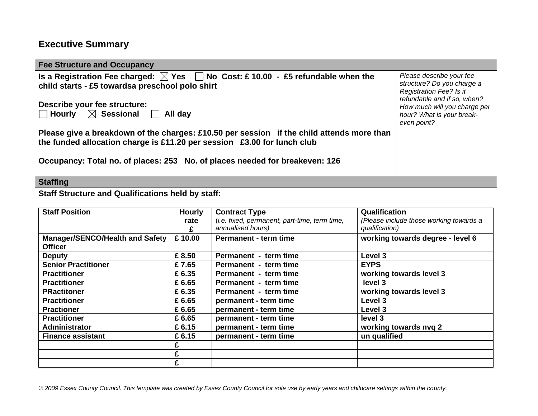## **Executive Summary**

| <b>Fee Structure and Occupancy</b>                                                                                                                                   |               |                                                                    |                      |                                                                                                                  |
|----------------------------------------------------------------------------------------------------------------------------------------------------------------------|---------------|--------------------------------------------------------------------|----------------------|------------------------------------------------------------------------------------------------------------------|
| Is a Registration Fee charged: $\boxtimes$ Yes $\Box$ No Cost: £10.00 - £5 refundable when the<br>child starts - £5 towardsa preschool polo shirt                    |               |                                                                    |                      | Please describe your fee<br>structure? Do you charge a<br>Registration Fee? Is it<br>refundable and if so, when? |
| Describe your fee structure:<br>$\Box$ Hourly $\hskip10mm \boxtimes$ Sessional $\hskip10mm \Box$<br>All day                                                          |               |                                                                    |                      | How much will you charge per<br>hour? What is your break-<br>even point?                                         |
| Please give a breakdown of the charges: £10.50 per session if the child attends more than<br>the funded allocation charge is £11.20 per session £3.00 for lunch club |               |                                                                    |                      |                                                                                                                  |
| Occupancy: Total no. of places: 253 No. of places needed for breakeven: 126                                                                                          |               |                                                                    |                      |                                                                                                                  |
| <b>Staffing</b>                                                                                                                                                      |               |                                                                    |                      |                                                                                                                  |
| <b>Staff Structure and Qualifications held by staff:</b>                                                                                                             |               |                                                                    |                      |                                                                                                                  |
| <b>Staff Position</b>                                                                                                                                                | <b>Hourly</b> | <b>Contract Type</b>                                               | <b>Qualification</b> |                                                                                                                  |
|                                                                                                                                                                      | rate<br>£     | (i.e. fixed, permanent, part-time, term time,<br>annualised hours) | qualification)       | (Please include those working towards a                                                                          |
| <b>Manager/SENCO/Health and Safety</b><br><b>Officer</b>                                                                                                             | £10.00        | <b>Permanent - term time</b>                                       |                      | working towards degree - level 6                                                                                 |
| <b>Deputy</b>                                                                                                                                                        | £8.50         | Permanent - term time                                              | Level 3              |                                                                                                                  |
| <b>Senior Practitioner</b>                                                                                                                                           | £7.65         | Permanent - term time                                              | <b>EYPS</b>          |                                                                                                                  |
| <b>Practitioner</b>                                                                                                                                                  | £6.35         | Permanent - term time                                              |                      | working towards level 3                                                                                          |
| <b>Practitioner</b>                                                                                                                                                  | £ 6.65        | Permanent - term time                                              | level 3              |                                                                                                                  |
| <b>PRactitoner</b>                                                                                                                                                   | £6.35         | Permanent - term time                                              |                      | working towards level 3                                                                                          |
| <b>Practitioner</b>                                                                                                                                                  | £ 6.65        | permanent - term time                                              | Level 3              |                                                                                                                  |
| <b>Practioner</b>                                                                                                                                                    | £ 6.65        | permanent - term time                                              | Level 3              |                                                                                                                  |
| <b>Practitioner</b>                                                                                                                                                  | £ 6.65        | permanent - term time                                              | level 3              |                                                                                                                  |
| Administrator                                                                                                                                                        | £6.15         | permanent - term time                                              |                      | working towards nvq 2                                                                                            |
| <b>Finance assistant</b>                                                                                                                                             | £6.15         | permanent - term time                                              | un qualified         |                                                                                                                  |
|                                                                                                                                                                      | £             |                                                                    |                      |                                                                                                                  |
|                                                                                                                                                                      | £             |                                                                    |                      |                                                                                                                  |
|                                                                                                                                                                      | £             |                                                                    |                      |                                                                                                                  |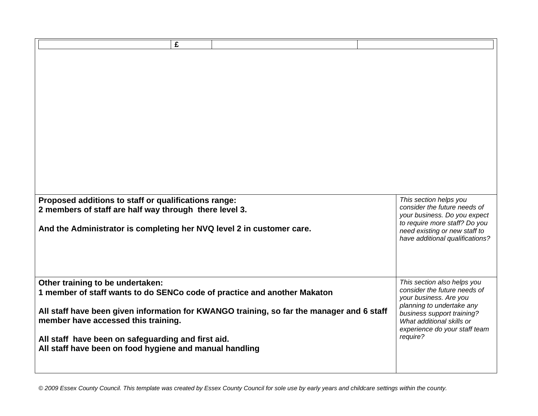| £<br>Proposed additions to staff or qualifications range:<br>2 members of staff are half way through there level 3. |                                                                                           | This section helps you<br>consider the future needs of<br>your business. Do you expect<br>to require more staff? Do you |
|---------------------------------------------------------------------------------------------------------------------|-------------------------------------------------------------------------------------------|-------------------------------------------------------------------------------------------------------------------------|
| And the Administrator is completing her NVQ level 2 in customer care.                                               |                                                                                           | need existing or new staff to<br>have additional qualifications?                                                        |
| Other training to be undertaken:<br>1 member of staff wants to do SENCo code of practice and another Makaton        |                                                                                           | This section also helps you<br>consider the future needs of<br>your business. Are you                                   |
| member have accessed this training.                                                                                 | All staff have been given information for KWANGO training, so far the manager and 6 staff | planning to undertake any<br>business support training?<br>What additional skills or<br>experience do your staff team   |
| All staff have been on safeguarding and first aid.<br>All staff have been on food hygiene and manual handling       |                                                                                           | require?                                                                                                                |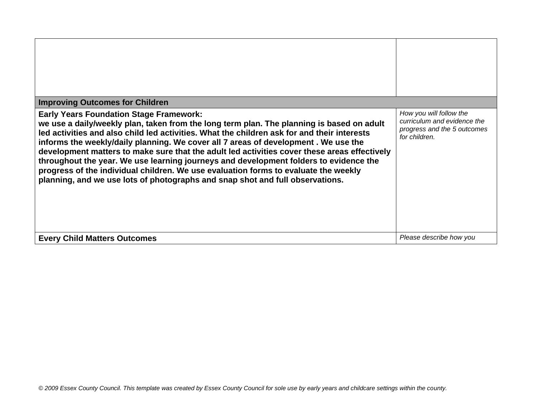| <b>Improving Outcomes for Children</b>                                                                                                                                                                                                                                                                                                                                                                                                                                                                                                                                                                                                                                                            |                                                                                                        |
|---------------------------------------------------------------------------------------------------------------------------------------------------------------------------------------------------------------------------------------------------------------------------------------------------------------------------------------------------------------------------------------------------------------------------------------------------------------------------------------------------------------------------------------------------------------------------------------------------------------------------------------------------------------------------------------------------|--------------------------------------------------------------------------------------------------------|
| <b>Early Years Foundation Stage Framework:</b><br>we use a daily/weekly plan, taken from the long term plan. The planning is based on adult<br>led activities and also child led activities. What the children ask for and their interests<br>informs the weekly/daily planning. We cover all 7 areas of development. We use the<br>development matters to make sure that the adult led activities cover these areas effectively<br>throughout the year. We use learning journeys and development folders to evidence the<br>progress of the individual children. We use evaluation forms to evaluate the weekly<br>planning, and we use lots of photographs and snap shot and full observations. | How you will follow the<br>curriculum and evidence the<br>progress and the 5 outcomes<br>for children. |
| <b>Every Child Matters Outcomes</b>                                                                                                                                                                                                                                                                                                                                                                                                                                                                                                                                                                                                                                                               | Please describe how you                                                                                |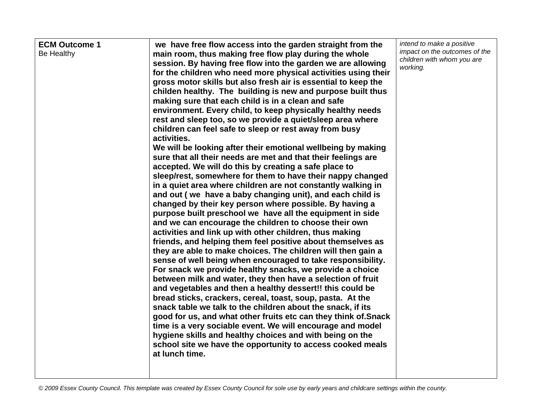| <b>ECM Outcome 1</b><br>Be Healthy | we have free flow access into the garden straight from the<br>main room, thus making free flow play during the whole<br>session. By having free flow into the garden we are allowing<br>for the children who need more physical activities using their<br>gross motor skills but also fresh air is essential to keep the<br>childen healthy. The building is new and purpose built thus<br>making sure that each child is in a clean and safe<br>environment. Every child, to keep physically healthy needs<br>rest and sleep too, so we provide a quiet/sleep area where<br>children can feel safe to sleep or rest away from busy<br>activities.<br>We will be looking after their emotional wellbeing by making<br>sure that all their needs are met and that their feelings are<br>accepted. We will do this by creating a safe place to<br>sleep/rest, somewhere for them to have their nappy changed<br>in a quiet area where children are not constantly walking in<br>and out (we have a baby changing unit), and each child is<br>changed by their key person where possible. By having a<br>purpose built preschool we have all the equipment in side<br>and we can encourage the children to choose their own<br>activities and link up with other children, thus making<br>friends, and helping them feel positive about themselves as<br>they are able to make choices. The children will then gain a<br>sense of well being when encouraged to take responsibility.<br>For snack we provide healthy snacks, we provide a choice<br>between milk and water, they then have a selection of fruit<br>and vegetables and then a healthy dessert!! this could be<br>bread sticks, crackers, cereal, toast, soup, pasta. At the<br>snack table we talk to the children about the snack, if its<br>good for us, and what other fruits etc can they think of. Snack<br>time is a very sociable event. We will encourage and model<br>hygiene skills and healthy choices and with being on the<br>school site we have the opportunity to access cooked meals<br>at lunch time. | intend to make a positive<br>impact on the outcomes of the<br>children with whom you are<br>working. |
|------------------------------------|-------------------------------------------------------------------------------------------------------------------------------------------------------------------------------------------------------------------------------------------------------------------------------------------------------------------------------------------------------------------------------------------------------------------------------------------------------------------------------------------------------------------------------------------------------------------------------------------------------------------------------------------------------------------------------------------------------------------------------------------------------------------------------------------------------------------------------------------------------------------------------------------------------------------------------------------------------------------------------------------------------------------------------------------------------------------------------------------------------------------------------------------------------------------------------------------------------------------------------------------------------------------------------------------------------------------------------------------------------------------------------------------------------------------------------------------------------------------------------------------------------------------------------------------------------------------------------------------------------------------------------------------------------------------------------------------------------------------------------------------------------------------------------------------------------------------------------------------------------------------------------------------------------------------------------------------------------------------------------------------------------------------------------------------------------------------------------------|------------------------------------------------------------------------------------------------------|
|------------------------------------|-------------------------------------------------------------------------------------------------------------------------------------------------------------------------------------------------------------------------------------------------------------------------------------------------------------------------------------------------------------------------------------------------------------------------------------------------------------------------------------------------------------------------------------------------------------------------------------------------------------------------------------------------------------------------------------------------------------------------------------------------------------------------------------------------------------------------------------------------------------------------------------------------------------------------------------------------------------------------------------------------------------------------------------------------------------------------------------------------------------------------------------------------------------------------------------------------------------------------------------------------------------------------------------------------------------------------------------------------------------------------------------------------------------------------------------------------------------------------------------------------------------------------------------------------------------------------------------------------------------------------------------------------------------------------------------------------------------------------------------------------------------------------------------------------------------------------------------------------------------------------------------------------------------------------------------------------------------------------------------------------------------------------------------------------------------------------------------|------------------------------------------------------------------------------------------------------|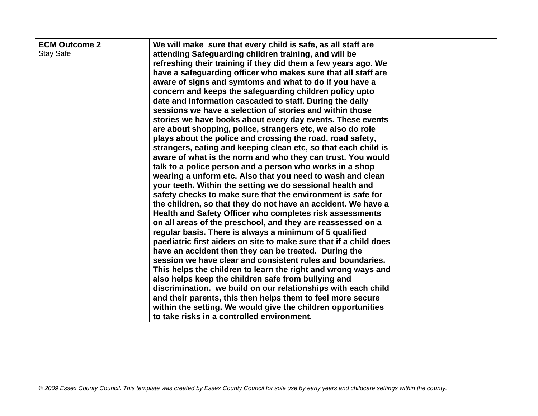| <b>ECM Outcome 2</b><br><b>Stay Safe</b> | We will make sure that every child is safe, as all staff are<br>attending Safeguarding children training, and will be<br>refreshing their training if they did them a few years ago. We<br>have a safeguarding officer who makes sure that all staff are<br>aware of signs and symtoms and what to do if you have a<br>concern and keeps the safeguarding children policy upto<br>date and information cascaded to staff. During the daily<br>sessions we have a selection of stories and within those<br>stories we have books about every day events. These events<br>are about shopping, police, strangers etc, we also do role<br>plays about the police and crossing the road, road safety,<br>strangers, eating and keeping clean etc, so that each child is<br>aware of what is the norm and who they can trust. You would<br>talk to a police person and a person who works in a shop<br>wearing a unform etc. Also that you need to wash and clean<br>your teeth. Within the setting we do sessional health and<br>safety checks to make sure that the environment is safe for<br>the children, so that they do not have an accident. We have a<br>Health and Safety Officer who completes risk assessments<br>on all areas of the preschool, and they are reassessed on a<br>regular basis. There is always a minimum of 5 qualified<br>paediatric first aiders on site to make sure that if a child does<br>have an accident then they can be treated. During the<br>session we have clear and consistent rules and boundaries.<br>This helps the children to learn the right and wrong ways and<br>also helps keep the children safe from bullying and<br>discrimination. we build on our relationships with each child<br>and their parents, this then helps them to feel more secure |  |
|------------------------------------------|----------------------------------------------------------------------------------------------------------------------------------------------------------------------------------------------------------------------------------------------------------------------------------------------------------------------------------------------------------------------------------------------------------------------------------------------------------------------------------------------------------------------------------------------------------------------------------------------------------------------------------------------------------------------------------------------------------------------------------------------------------------------------------------------------------------------------------------------------------------------------------------------------------------------------------------------------------------------------------------------------------------------------------------------------------------------------------------------------------------------------------------------------------------------------------------------------------------------------------------------------------------------------------------------------------------------------------------------------------------------------------------------------------------------------------------------------------------------------------------------------------------------------------------------------------------------------------------------------------------------------------------------------------------------------------------------------------------------------------------------------------------------------------------------------|--|
|                                          | within the setting. We would give the children opportunities<br>to take risks in a controlled environment.                                                                                                                                                                                                                                                                                                                                                                                                                                                                                                                                                                                                                                                                                                                                                                                                                                                                                                                                                                                                                                                                                                                                                                                                                                                                                                                                                                                                                                                                                                                                                                                                                                                                                         |  |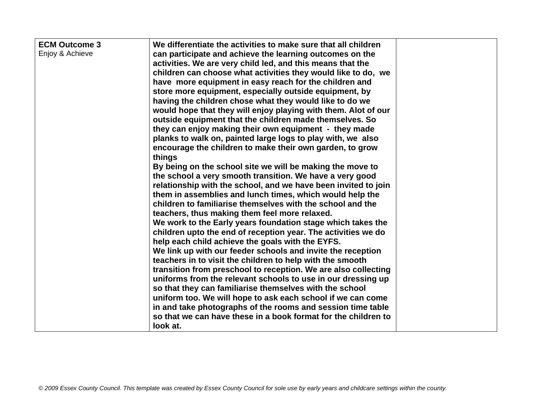| <b>ECM Outcome 3</b><br>Enjoy & Achieve | We differentiate the activities to make sure that all children<br>can participate and achieve the learning outcomes on the<br>activities. We are very child led, and this means that the<br>children can choose what activities they would like to do, we<br>have more equipment in easy reach for the children and<br>store more equipment, especially outside equipment, by<br>having the children chose what they would like to do we<br>would hope that they will enjoy playing with them. Alot of our<br>outside equipment that the children made themselves. So<br>they can enjoy making their own equipment - they made<br>planks to walk on, painted large logs to play with, we also<br>encourage the children to make their own garden, to grow<br>things<br>By being on the school site we will be making the move to<br>the school a very smooth transition. We have a very good<br>relationship with the school, and we have been invited to join<br>them in assemblies and lunch times, which would help the<br>children to familiarise themselves with the school and the<br>teachers, thus making them feel more relaxed.<br>We work to the Early years foundation stage which takes the<br>children upto the end of reception year. The activities we do<br>help each child achieve the goals with the EYFS.<br>We link up with our feeder schools and invite the reception<br>teachers in to visit the children to help with the smooth<br>transition from preschool to reception. We are also collecting<br>uniforms from the relevant schools to use in our dressing up<br>so that they can familiarise themselves with the school<br>uniform too. We will hope to ask each school if we can come<br>in and take photographs of the rooms and session time table |  |
|-----------------------------------------|--------------------------------------------------------------------------------------------------------------------------------------------------------------------------------------------------------------------------------------------------------------------------------------------------------------------------------------------------------------------------------------------------------------------------------------------------------------------------------------------------------------------------------------------------------------------------------------------------------------------------------------------------------------------------------------------------------------------------------------------------------------------------------------------------------------------------------------------------------------------------------------------------------------------------------------------------------------------------------------------------------------------------------------------------------------------------------------------------------------------------------------------------------------------------------------------------------------------------------------------------------------------------------------------------------------------------------------------------------------------------------------------------------------------------------------------------------------------------------------------------------------------------------------------------------------------------------------------------------------------------------------------------------------------------------------------------------------------------------------------------------------------------------------|--|
|                                         | so that we can have these in a book format for the children to<br>look at.                                                                                                                                                                                                                                                                                                                                                                                                                                                                                                                                                                                                                                                                                                                                                                                                                                                                                                                                                                                                                                                                                                                                                                                                                                                                                                                                                                                                                                                                                                                                                                                                                                                                                                           |  |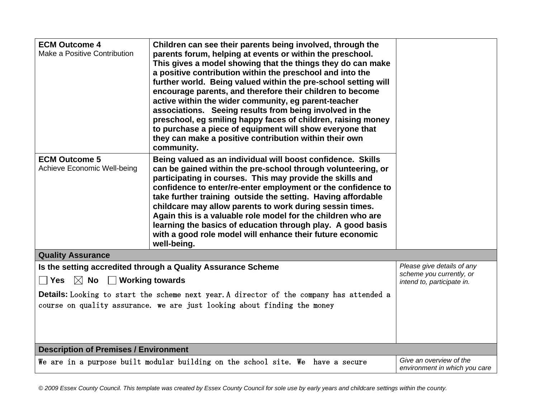| <b>ECM Outcome 4</b><br>Make a Positive Contribution<br><b>ECM Outcome 5</b> | Children can see their parents being involved, through the<br>parents forum, helping at events or within the preschool.<br>This gives a model showing that the things they do can make<br>a positive contribution within the preschool and into the<br>further world. Being valued within the pre-school setting will<br>encourage parents, and therefore their children to become<br>active within the wider community, eg parent-teacher<br>associations. Seeing results from being involved in the<br>preschool, eg smiling happy faces of children, raising money<br>to purchase a piece of equipment will show everyone that<br>they can make a positive contribution within their own<br>community.<br>Being valued as an individual will boost confidence. Skills |                                                          |
|------------------------------------------------------------------------------|--------------------------------------------------------------------------------------------------------------------------------------------------------------------------------------------------------------------------------------------------------------------------------------------------------------------------------------------------------------------------------------------------------------------------------------------------------------------------------------------------------------------------------------------------------------------------------------------------------------------------------------------------------------------------------------------------------------------------------------------------------------------------|----------------------------------------------------------|
| Achieve Economic Well-being                                                  | can be gained within the pre-school through volunteering, or<br>participating in courses. This may provide the skills and<br>confidence to enter/re-enter employment or the confidence to<br>take further training outside the setting. Having affordable<br>childcare may allow parents to work during sessin times.<br>Again this is a valuable role model for the children who are<br>learning the basics of education through play. A good basis<br>with a good role model will enhance their future economic<br>well-being.                                                                                                                                                                                                                                         |                                                          |
| <b>Quality Assurance</b>                                                     |                                                                                                                                                                                                                                                                                                                                                                                                                                                                                                                                                                                                                                                                                                                                                                          |                                                          |
|                                                                              | Is the setting accredited through a Quality Assurance Scheme                                                                                                                                                                                                                                                                                                                                                                                                                                                                                                                                                                                                                                                                                                             | Please give details of any<br>scheme you currently, or   |
| $\boxtimes$ No<br>$\Box$ Working towards<br><b>Yes</b>                       |                                                                                                                                                                                                                                                                                                                                                                                                                                                                                                                                                                                                                                                                                                                                                                          | intend to, participate in.                               |
|                                                                              | <b>Details:</b> Looking to start the scheme next year. A director of the company has attended a<br>course on quality assurance. we are just looking about finding the money                                                                                                                                                                                                                                                                                                                                                                                                                                                                                                                                                                                              |                                                          |
| <b>Description of Premises / Environment</b>                                 |                                                                                                                                                                                                                                                                                                                                                                                                                                                                                                                                                                                                                                                                                                                                                                          |                                                          |
|                                                                              | We are in a purpose built modular building on the school site. We have a secure                                                                                                                                                                                                                                                                                                                                                                                                                                                                                                                                                                                                                                                                                          | Give an overview of the<br>environment in which you care |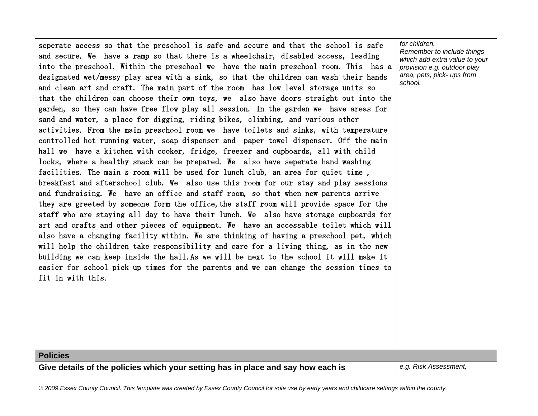seperate access so that the preschool is safe and secure and that the school is safe and secure. We have a ramp so that there is a wheelchair, disabled access, leading into the preschool. Within the preschool we have the main preschool room. This has a designated wet/messy play area with a sink, so that the children can wash their hands and clean art and craft. The main part of the room has low level storage units so that the children can choose their own toys, we also have doors straight out into the garden, so they can have free flow play all session. In the garden we have areas for sand and water, a place for digging, riding bikes, climbing, and various other activities. From the main preschool room we have toilets and sinks, with temperature controlled hot running water, soap dispenser and paper towel dispenser. Off the main hall we have a kitchen with cooker, fridge, freezer and cupboards, all with child locks, where a healthy snack can be prepared. We also have seperate hand washing facilities. The main s room will be used for lunch club, an area for quiet time , breakfast and afterschool club. We also use this room for our stay and play sessions and fundraising. We have an office and staff room, so that when new parents arrive they are greeted by someone form the office, the staff room will provide space for the staff who are staying all day to have their lunch. We also have storage cupboards for art and crafts and other pieces of equipment. We have an accessable toilet which will also have a changing facility within. We are thinking of having a preschool pet, which will help the children take responsibility and care for a living thing, as in the new building we can keep inside the hall.As we will be next to the school it will make it easier for school pick up times for the parents and we can change the session times to fit in with this.

*for children. Remember to include things which add extra value to your provision e.g. outdoor play area, pets, pick- ups from school.*

**Policies**

**Give details of the policies which your setting has in place and say how each is** *e.g. Risk Assessment,*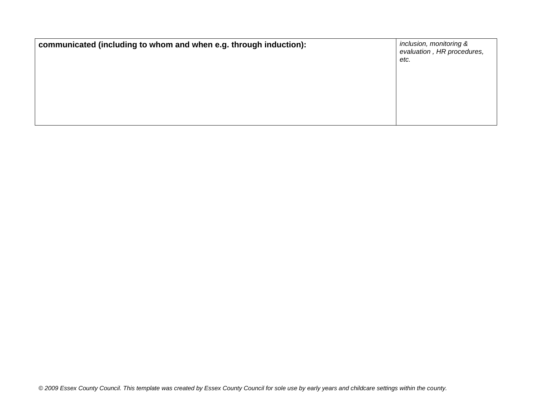| communicated (including to whom and when e.g. through induction): | inclusion, monitoring &<br>evaluation, HR procedures,<br>etc. |
|-------------------------------------------------------------------|---------------------------------------------------------------|
|                                                                   |                                                               |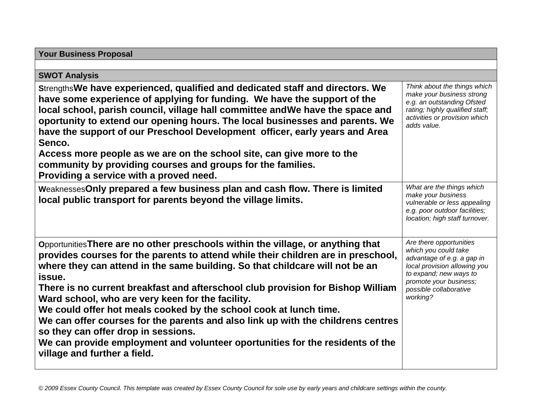| <b>Your Business Proposal</b>                                                                                                                                                                                                                                                                                                                                                                                                                                                                                                                                                                                                                                                                                           |                                                                                                                                                                                                         |
|-------------------------------------------------------------------------------------------------------------------------------------------------------------------------------------------------------------------------------------------------------------------------------------------------------------------------------------------------------------------------------------------------------------------------------------------------------------------------------------------------------------------------------------------------------------------------------------------------------------------------------------------------------------------------------------------------------------------------|---------------------------------------------------------------------------------------------------------------------------------------------------------------------------------------------------------|
|                                                                                                                                                                                                                                                                                                                                                                                                                                                                                                                                                                                                                                                                                                                         |                                                                                                                                                                                                         |
| <b>SWOT Analysis</b>                                                                                                                                                                                                                                                                                                                                                                                                                                                                                                                                                                                                                                                                                                    |                                                                                                                                                                                                         |
| Strengths We have experienced, qualified and dedicated staff and directors. We<br>have some experience of applying for funding. We have the support of the<br>local school, parish council, village hall committee and We have the space and<br>oportunity to extend our opening hours. The local businesses and parents. We<br>have the support of our Preschool Development officer, early years and Area<br>Senco.                                                                                                                                                                                                                                                                                                   | Think about the things which<br>make your business strong<br>e.g. an outstanding Ofsted<br>rating; highly qualified staff;<br>activities or provision which<br>adds value.                              |
| Access more people as we are on the school site, can give more to the<br>community by providing courses and groups for the families.<br>Providing a service with a proved need.                                                                                                                                                                                                                                                                                                                                                                                                                                                                                                                                         |                                                                                                                                                                                                         |
| Weaknesses Only prepared a few business plan and cash flow. There is limited<br>local public transport for parents beyond the village limits.                                                                                                                                                                                                                                                                                                                                                                                                                                                                                                                                                                           | What are the things which<br>make your business<br>vulnerable or less appealing<br>e.g. poor outdoor facilities;<br>location; high staff turnover.                                                      |
| Opportunities There are no other preschools within the village, or anything that<br>provides courses for the parents to attend while their children are in preschool,<br>where they can attend in the same building. So that childcare will not be an<br>issue.<br>There is no current breakfast and afterschool club provision for Bishop William<br>Ward school, who are very keen for the facility.<br>We could offer hot meals cooked by the school cook at lunch time.<br>We can offer courses for the parents and also link up with the childrens centres<br>so they can offer drop in sessions.<br>We can provide employment and volunteer oportunities for the residents of the<br>village and further a field. | Are there opportunities<br>which you could take<br>advantage of e.g. a gap in<br>local provision allowing you<br>to expand; new ways to<br>promote your business;<br>possible collaborative<br>working? |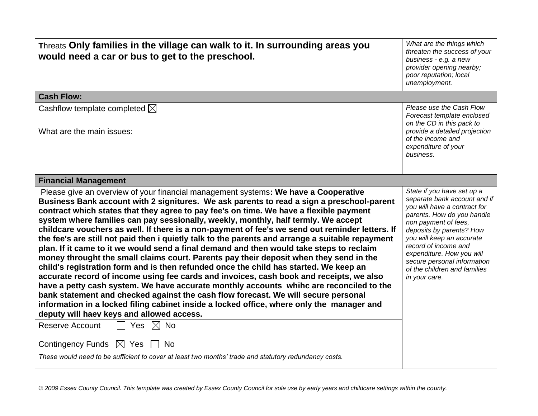| unemployment.                                                                                                                                                                                                                                                                                                                                                                                                                                                                                                                                                                                                                                                                                                                                                                                                                                                                                                                                                                                                                                                                                                                                                                                                                                                                                                                                                                                                                                                                                                                                                                                                                  |  |  |  |
|--------------------------------------------------------------------------------------------------------------------------------------------------------------------------------------------------------------------------------------------------------------------------------------------------------------------------------------------------------------------------------------------------------------------------------------------------------------------------------------------------------------------------------------------------------------------------------------------------------------------------------------------------------------------------------------------------------------------------------------------------------------------------------------------------------------------------------------------------------------------------------------------------------------------------------------------------------------------------------------------------------------------------------------------------------------------------------------------------------------------------------------------------------------------------------------------------------------------------------------------------------------------------------------------------------------------------------------------------------------------------------------------------------------------------------------------------------------------------------------------------------------------------------------------------------------------------------------------------------------------------------|--|--|--|
| <b>Cash Flow:</b>                                                                                                                                                                                                                                                                                                                                                                                                                                                                                                                                                                                                                                                                                                                                                                                                                                                                                                                                                                                                                                                                                                                                                                                                                                                                                                                                                                                                                                                                                                                                                                                                              |  |  |  |
| Please use the Cash Flow<br>Cashflow template completed $\boxtimes$<br>Forecast template enclosed<br>on the CD in this pack to                                                                                                                                                                                                                                                                                                                                                                                                                                                                                                                                                                                                                                                                                                                                                                                                                                                                                                                                                                                                                                                                                                                                                                                                                                                                                                                                                                                                                                                                                                 |  |  |  |
| provide a detailed projection<br>What are the main issues:<br>of the income and<br>expenditure of your<br>business.                                                                                                                                                                                                                                                                                                                                                                                                                                                                                                                                                                                                                                                                                                                                                                                                                                                                                                                                                                                                                                                                                                                                                                                                                                                                                                                                                                                                                                                                                                            |  |  |  |
| <b>Financial Management</b>                                                                                                                                                                                                                                                                                                                                                                                                                                                                                                                                                                                                                                                                                                                                                                                                                                                                                                                                                                                                                                                                                                                                                                                                                                                                                                                                                                                                                                                                                                                                                                                                    |  |  |  |
| Please give an overview of your financial management systems: We have a Cooperative<br>State if you have set up a<br>separate bank account and if<br>Business Bank account with 2 signitures. We ask parents to read a sign a preschool-parent<br>you will have a contract for<br>contract which states that they agree to pay fee's on time. We have a flexible payment<br>parents. How do you handle<br>system where families can pay sessionally, weekly, monthly, half termly. We accept<br>non payment of fees,<br>childcare vouchers as well. If there is a non-payment of fee's we send out reminder letters. If<br>deposits by parents? How<br>you will keep an accurate<br>the fee's are still not paid then i quietly talk to the parents and arrange a suitable repayment<br>record of income and<br>plan. If it came to it we would send a final demand and then would take steps to reclaim<br>expenditure. How you will<br>money throught the small claims court. Parents pay their deposit when they send in the<br>secure personal information<br>child's registration form and is then refunded once the child has started. We keep an<br>of the children and families<br>accurate record of income using fee cards and invoices, cash book and receipts, we also<br>in your care.<br>have a petty cash system. We have accurate monthly accounts whihc are reconciled to the<br>bank statement and checked against the cash flow forecast. We will secure personal<br>information in a locked filing cabinet inside a locked office, where only the manager and<br>deputy will haev keys and allowed access. |  |  |  |
| <b>Reserve Account</b><br>Yes<br>$\boxtimes$ No                                                                                                                                                                                                                                                                                                                                                                                                                                                                                                                                                                                                                                                                                                                                                                                                                                                                                                                                                                                                                                                                                                                                                                                                                                                                                                                                                                                                                                                                                                                                                                                |  |  |  |
| Contingency Funds $\boxtimes$ Yes $\Box$<br>- No<br>These would need to be sufficient to cover at least two months' trade and statutory redundancy costs.                                                                                                                                                                                                                                                                                                                                                                                                                                                                                                                                                                                                                                                                                                                                                                                                                                                                                                                                                                                                                                                                                                                                                                                                                                                                                                                                                                                                                                                                      |  |  |  |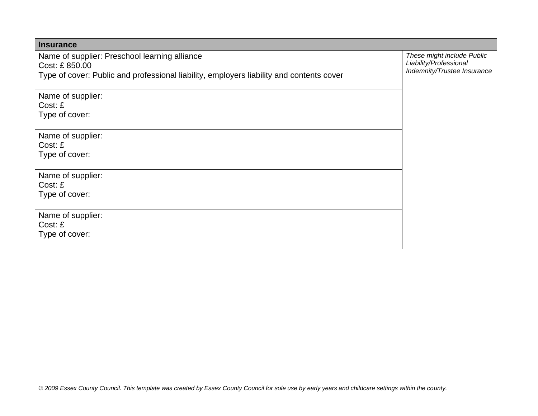| <b>Insurance</b>                                                                         |                                                                                     |
|------------------------------------------------------------------------------------------|-------------------------------------------------------------------------------------|
| Name of supplier: Preschool learning alliance<br>Cost: £850.00                           | These might include Public<br>Liability/Professional<br>Indemnity/Trustee Insurance |
| Type of cover: Public and professional liability, employers liability and contents cover |                                                                                     |
| Name of supplier:                                                                        |                                                                                     |
| Cost: E<br>Type of cover:                                                                |                                                                                     |
| Name of supplier:                                                                        |                                                                                     |
| Cost: £                                                                                  |                                                                                     |
| Type of cover:                                                                           |                                                                                     |
| Name of supplier:                                                                        |                                                                                     |
| Cost: £                                                                                  |                                                                                     |
| Type of cover:                                                                           |                                                                                     |
| Name of supplier:<br>Cost: £                                                             |                                                                                     |
| Type of cover:                                                                           |                                                                                     |
|                                                                                          |                                                                                     |